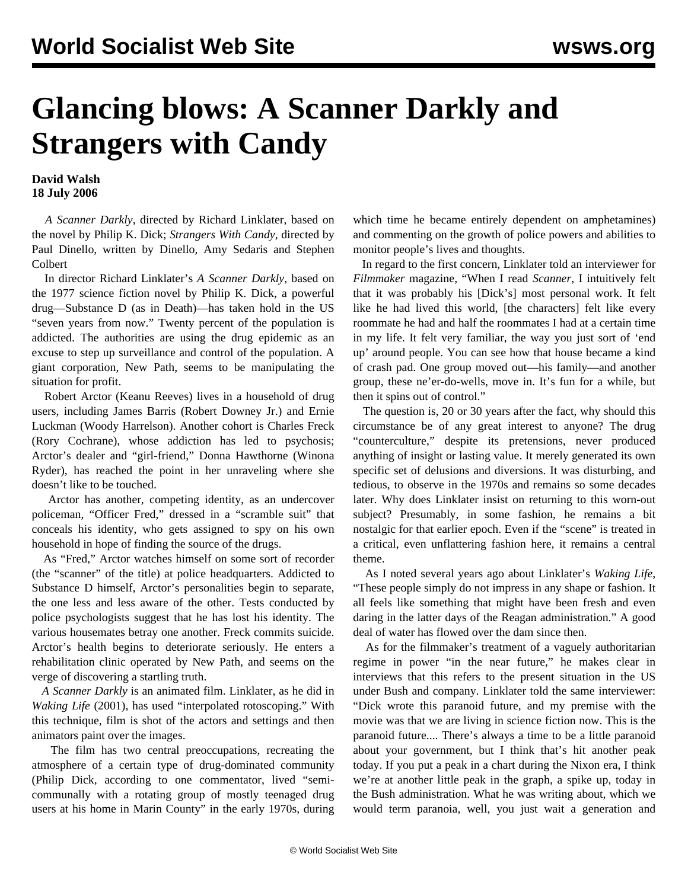## **Glancing blows: A Scanner Darkly and Strangers with Candy**

## **David Walsh 18 July 2006**

 *A Scanner Darkly*, directed by Richard Linklater, based on the novel by Philip K. Dick; *Strangers With Candy*, directed by Paul Dinello, written by Dinello, Amy Sedaris and Stephen Colbert

 In director Richard Linklater's *A Scanner Darkly*, based on the 1977 science fiction novel by Philip K. Dick, a powerful drug—Substance D (as in Death)—has taken hold in the US "seven years from now." Twenty percent of the population is addicted. The authorities are using the drug epidemic as an excuse to step up surveillance and control of the population. A giant corporation, New Path, seems to be manipulating the situation for profit.

 Robert Arctor (Keanu Reeves) lives in a household of drug users, including James Barris (Robert Downey Jr.) and Ernie Luckman (Woody Harrelson). Another cohort is Charles Freck (Rory Cochrane), whose addiction has led to psychosis; Arctor's dealer and "girl-friend," Donna Hawthorne (Winona Ryder), has reached the point in her unraveling where she doesn't like to be touched.

 Arctor has another, competing identity, as an undercover policeman, "Officer Fred," dressed in a "scramble suit" that conceals his identity, who gets assigned to spy on his own household in hope of finding the source of the drugs.

 As "Fred," Arctor watches himself on some sort of recorder (the "scanner" of the title) at police headquarters. Addicted to Substance D himself, Arctor's personalities begin to separate, the one less and less aware of the other. Tests conducted by police psychologists suggest that he has lost his identity. The various housemates betray one another. Freck commits suicide. Arctor's health begins to deteriorate seriously. He enters a rehabilitation clinic operated by New Path, and seems on the verge of discovering a startling truth.

 *A Scanner Darkly* is an animated film. Linklater, as he did in *Waking Life* (2001), has used "interpolated rotoscoping." With this technique, film is shot of the actors and settings and then animators paint over the images.

 The film has two central preoccupations, recreating the atmosphere of a certain type of drug-dominated community (Philip Dick, according to one commentator, lived "semicommunally with a rotating group of mostly teenaged drug users at his home in Marin County" in the early 1970s, during which time he became entirely dependent on amphetamines) and commenting on the growth of police powers and abilities to monitor people's lives and thoughts.

 In regard to the first concern, Linklater told an interviewer for *Filmmaker* magazine, "When I read *Scanner*, I intuitively felt that it was probably his [Dick's] most personal work. It felt like he had lived this world, [the characters] felt like every roommate he had and half the roommates I had at a certain time in my life. It felt very familiar, the way you just sort of 'end up' around people. You can see how that house became a kind of crash pad. One group moved out—his family—and another group, these ne'er-do-wells, move in. It's fun for a while, but then it spins out of control."

 The question is, 20 or 30 years after the fact, why should this circumstance be of any great interest to anyone? The drug "counterculture," despite its pretensions, never produced anything of insight or lasting value. It merely generated its own specific set of delusions and diversions. It was disturbing, and tedious, to observe in the 1970s and remains so some decades later. Why does Linklater insist on returning to this worn-out subject? Presumably, in some fashion, he remains a bit nostalgic for that earlier epoch. Even if the "scene" is treated in a critical, even unflattering fashion here, it remains a central theme.

 As I noted several years ago about Linklater's *Waking Life*, "These people simply do not impress in any shape or fashion. It all feels like something that might have been fresh and even daring in the latter days of the Reagan administration." A good deal of water has flowed over the dam since then.

 As for the filmmaker's treatment of a vaguely authoritarian regime in power "in the near future," he makes clear in interviews that this refers to the present situation in the US under Bush and company. Linklater told the same interviewer: "Dick wrote this paranoid future, and my premise with the movie was that we are living in science fiction now. This is the paranoid future.... There's always a time to be a little paranoid about your government, but I think that's hit another peak today. If you put a peak in a chart during the Nixon era, I think we're at another little peak in the graph, a spike up, today in the Bush administration. What he was writing about, which we would term paranoia, well, you just wait a generation and